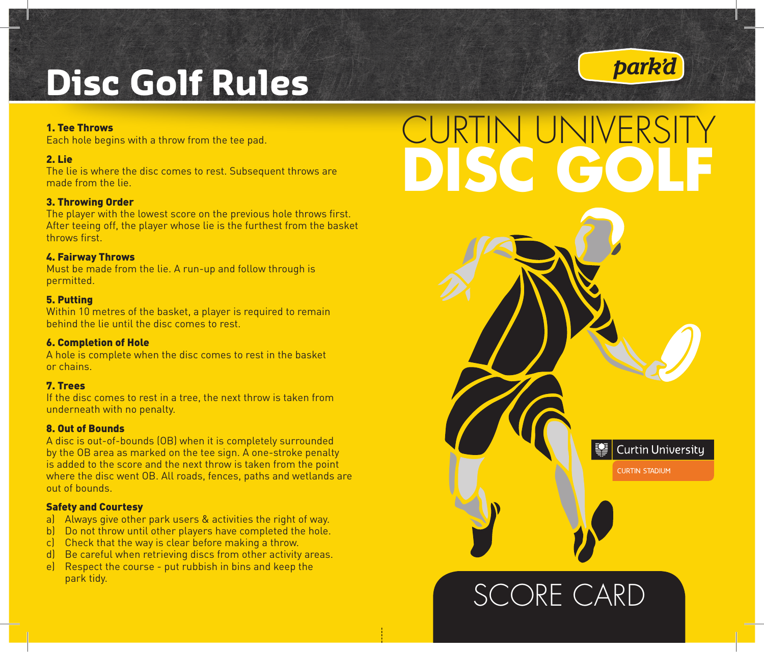# *park'd* **Disc Golf Rules**

#### 1. Tee Throws

Each hole begins with a throw from the tee pad.

#### 2. Lie

The lie is where the disc comes to rest. Subsequent throws are made from the lie.

#### 3. Throwing Order

The player with the lowest score on the previous hole throws first. After teeing off, the player whose lie is the furthest from the basket throws first.

#### 4. Fairway Throws

Must be made from the lie. A run-up and follow through is permitted.

#### 5. Putting

Within 10 metres of the basket, a player is required to remain behind the lie until the disc comes to rest.

#### 6. Completion of Hole

A hole is complete when the disc comes to rest in the basket or chains.

#### 7. Trees

If the disc comes to rest in a tree, the next throw is taken from underneath with no penalty.

#### 8. Out of Bounds

A disc is out-of-bounds (OB) when it is completely surrounded by the OB area as marked on the tee sign. A one-stroke penalty is added to the score and the next throw is taken from the point where the disc went OB. All roads, fences, paths and wetlands are out of bounds.

#### Safety and Courtesy

- a) Always give other park users & activities the right of way.
- b) Do not throw until other players have completed the hole.
- c) Check that the way is clear before making a throw.
- d) Be careful when retrieving discs from other activity areas.
- e) Respect the course put rubbish in bins and keep the park tidy.

## CURTIN UNIVERSITY **DISC GOLF**

SCORE CARD

**Curtin University CURTIN STADIUM**